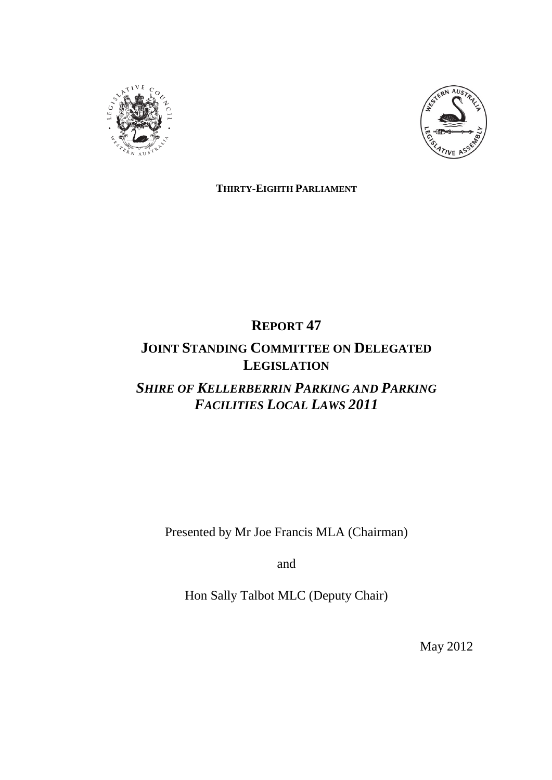



**THIRTY-EIGHTH PARLIAMENT**

# **REPORT 47**

# **JOINT STANDING COMMITTEE ON DELEGATED LEGISLATION**

# *SHIRE OF KELLERBERRIN PARKING AND PARKING FACILITIES LOCAL LAWS 2011*

Presented by Mr Joe Francis MLA (Chairman)

and

Hon Sally Talbot MLC (Deputy Chair)

May 2012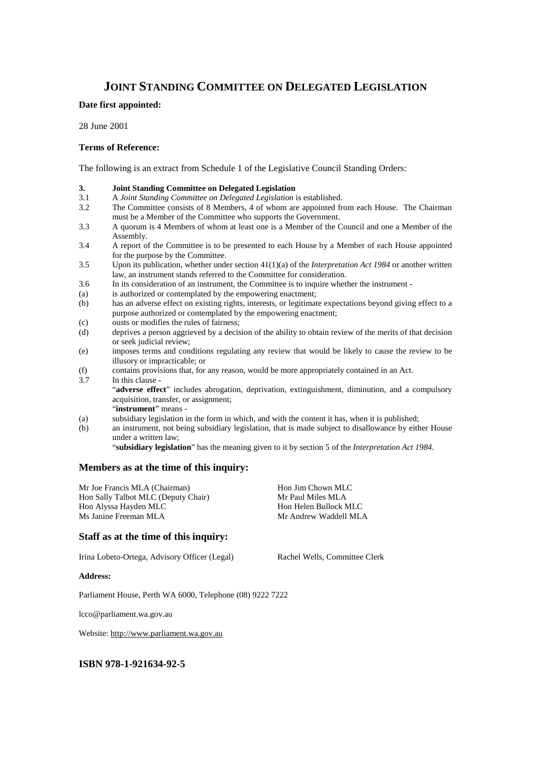## **JOINT STANDING COMMITTEE ON DELEGATED LEGISLATION**

#### **Date first appointed:**

28 June 2001

#### **Terms of Reference:**

The following is an extract from Schedule 1 of the Legislative Council Standing Orders:

- **3. Joint Standing Committee on Delegated Legislation**
- 3.1 A *Joint Standing Committee on Delegated Legislation* is established.
- 3.2 The Committee consists of 8 Members, 4 of whom are appointed from each House. The Chairman must be a Member of the Committee who supports the Government.
- 3.3 A quorum is 4 Members of whom at least one is a Member of the Council and one a Member of the Assembly.
- 3.4 A report of the Committee is to be presented to each House by a Member of each House appointed for the purpose by the Committee.
- 3.5 Upon its publication, whether under section 41(1)(a) of the *Interpretation Act 1984* or another written law, an instrument stands referred to the Committee for consideration.
- 3.6 In its consideration of an instrument, the Committee is to inquire whether the instrument -
- (a) is authorized or contemplated by the empowering enactment;
- (b) has an adverse effect on existing rights, interests, or legitimate expectations beyond giving effect to a purpose authorized or contemplated by the empowering enactment;
- (c) ousts or modifies the rules of fairness;
- (d) deprives a person aggrieved by a decision of the ability to obtain review of the merits of that decision or seek judicial review;
- (e) imposes terms and conditions regulating any review that would be likely to cause the review to be illusory or impracticable; or
- (f) contains provisions that, for any reason, would be more appropriately contained in an Act.<br>3.7 In this clause -
- In this clause -"**adverse effect**" includes abrogation, deprivation, extinguishment, diminution, and a compulsory acquisition, transfer, or assignment; "**instrument**" means -
- (a) subsidiary legislation in the form in which, and with the content it has, when it is published;
- (b) an instrument, not being subsidiary legislation, that is made subject to disallowance by either House under a written law;

"**subsidiary legislation**" has the meaning given to it by section 5 of the *Interpretation Act 1984*.

#### **Members as at the time of this inquiry:**

Mr Joe Francis MLA (Chairman) Hon Jim Chown MLC<br>
Hon Sally Talbot MLC (Deputy Chair) Mr Paul Miles MLA Hon Sally Talbot MLC (Deputy Chair) Hon Alyssa Hayden MLC<br>
Ms Janine Freeman MLA<br>
Mr Andrew Waddell ML

Mr Andrew Waddell MLA

#### **Staff as at the time of this inquiry:**

Irina Lobeto-Ortega, Advisory Officer (Legal) Rachel Wells, Committee Clerk

#### **Address:**

Parliament House, Perth WA 6000, Telephone (08) 9222 7222

lcco@parliament.wa.gov.au

Website: http://www.parliament.wa.gov.au

#### **ISBN 978-1-921634-92-5**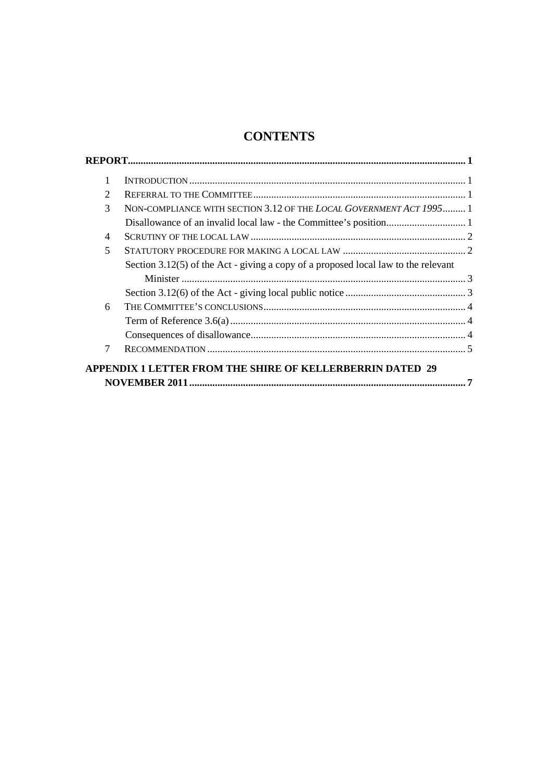## **CONTENTS**

|  | $\mathcal{D}_{\mathcal{L}}$ |                                                                                    |   |  |
|--|-----------------------------|------------------------------------------------------------------------------------|---|--|
|  | 3                           | NON-COMPLIANCE WITH SECTION 3.12 OF THE LOCAL GOVERNMENT ACT 1995 1                |   |  |
|  |                             |                                                                                    |   |  |
|  | 4                           |                                                                                    |   |  |
|  | 5                           |                                                                                    |   |  |
|  |                             | Section 3.12(5) of the Act - giving a copy of a proposed local law to the relevant |   |  |
|  |                             |                                                                                    |   |  |
|  |                             |                                                                                    |   |  |
|  | 6                           |                                                                                    |   |  |
|  |                             |                                                                                    |   |  |
|  |                             |                                                                                    |   |  |
|  | 7                           |                                                                                    |   |  |
|  |                             |                                                                                    |   |  |
|  |                             | <b>APPENDIX 1 LETTER FROM THE SHIRE OF KELLERBERRIN DATED 29</b>                   |   |  |
|  |                             |                                                                                    | 7 |  |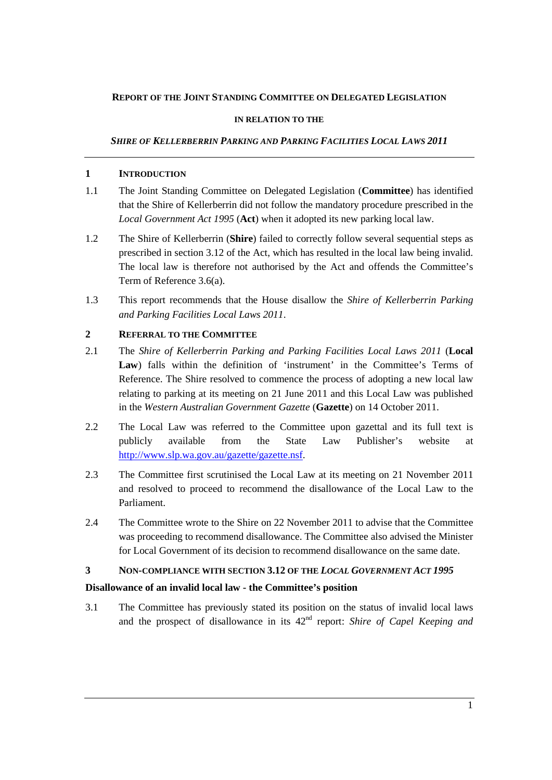#### **REPORT OF THE JOINT STANDING COMMITTEE ON DELEGATED LEGISLATION**

#### **IN RELATION TO THE**

#### *SHIRE OF KELLERBERRIN PARKING AND PARKING FACILITIES LOCAL LAWS 2011*

#### **1 INTRODUCTION**

- 1.1 The Joint Standing Committee on Delegated Legislation (**Committee**) has identified that the Shire of Kellerberrin did not follow the mandatory procedure prescribed in the *Local Government Act 1995* (**Act**) when it adopted its new parking local law.
- 1.2 The Shire of Kellerberrin (**Shire**) failed to correctly follow several sequential steps as prescribed in section 3.12 of the Act, which has resulted in the local law being invalid. The local law is therefore not authorised by the Act and offends the Committee's Term of Reference 3.6(a).
- 1.3 This report recommends that the House disallow the *Shire of Kellerberrin Parking and Parking Facilities Local Laws 2011*.

#### **2 REFERRAL TO THE COMMITTEE**

- 2.1 The *Shire of Kellerberrin Parking and Parking Facilities Local Laws 2011* (**Local Law**) falls within the definition of 'instrument' in the Committee's Terms of Reference. The Shire resolved to commence the process of adopting a new local law relating to parking at its meeting on 21 June 2011 and this Local Law was published in the *Western Australian Government Gazette* (**Gazette**) on 14 October 2011.
- 2.2 The Local Law was referred to the Committee upon gazettal and its full text is publicly available from the State Law Publisher's website at [http://www.slp.wa.gov.au/gazette/gazette.nsf.](http://www.slp.wa.gov.au/gazette/gazette.nsf)
- 2.3 The Committee first scrutinised the Local Law at its meeting on 21 November 2011 and resolved to proceed to recommend the disallowance of the Local Law to the Parliament.
- 2.4 The Committee wrote to the Shire on 22 November 2011 to advise that the Committee was proceeding to recommend disallowance. The Committee also advised the Minister for Local Government of its decision to recommend disallowance on the same date.

#### **3 NON-COMPLIANCE WITH SECTION 3.12 OF THE** *LOCAL GOVERNMENT ACT 1995*

## **Disallowance of an invalid local law - the Committee's position**

3.1 The Committee has previously stated its position on the status of invalid local laws and the prospect of disallowance in its 42nd report: *Shire of Capel Keeping and*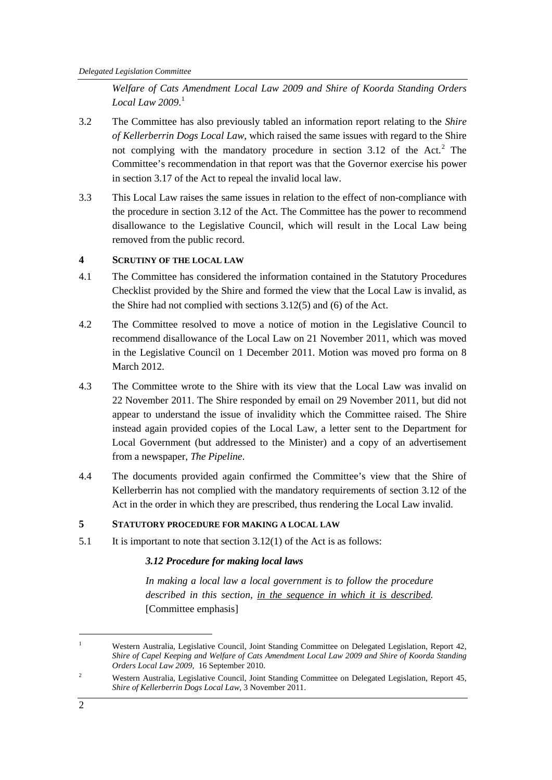*Welfare of Cats Amendment Local Law 2009 and Shire of Koorda Standing Orders Local Law 2009*. [1](#page-5-0)

- 3.2 The Committee has also previously tabled an information report relating to the *Shire of Kellerberrin Dogs Local Law*, which raised the same issues with regard to the Shire not complying with the mandatory procedure in section  $3.12$  $3.12$  of the Act.<sup>2</sup> The Committee's recommendation in that report was that the Governor exercise his power in section 3.17 of the Act to repeal the invalid local law.
- 3.3 This Local Law raises the same issues in relation to the effect of non-compliance with the procedure in section 3.12 of the Act. The Committee has the power to recommend disallowance to the Legislative Council, which will result in the Local Law being removed from the public record.

#### **4 SCRUTINY OF THE LOCAL LAW**

- 4.1 The Committee has considered the information contained in the Statutory Procedures Checklist provided by the Shire and formed the view that the Local Law is invalid, as the Shire had not complied with sections 3.12(5) and (6) of the Act.
- 4.2 The Committee resolved to move a notice of motion in the Legislative Council to recommend disallowance of the Local Law on 21 November 2011, which was moved in the Legislative Council on 1 December 2011. Motion was moved pro forma on 8 March 2012.
- 4.3 The Committee wrote to the Shire with its view that the Local Law was invalid on 22 November 2011. The Shire responded by email on 29 November 2011, but did not appear to understand the issue of invalidity which the Committee raised. The Shire instead again provided copies of the Local Law, a letter sent to the Department for Local Government (but addressed to the Minister) and a copy of an advertisement from a newspaper, *The Pipeline*.
- 4.4 The documents provided again confirmed the Committee's view that the Shire of Kellerberrin has not complied with the mandatory requirements of section 3.12 of the Act in the order in which they are prescribed, thus rendering the Local Law invalid.

## **5 STATUTORY PROCEDURE FOR MAKING A LOCAL LAW**

5.1 It is important to note that section 3.12(1) of the Act is as follows:

## *3.12 Procedure for making local laws*

*In making a local law a local government is to follow the procedure described in this section, in the sequence in which it is described.* [Committee emphasis]

<span id="page-5-0"></span><sup>&</sup>lt;sup>1</sup> Western Australia, Legislative Council, Joint Standing Committee on Delegated Legislation, Report 42, *Shire of Capel Keeping and Welfare of Cats Amendment Local Law 2009 and Shire of Koorda Standing Orders Local Law 2009*, 16 September 2010.

<span id="page-5-1"></span><sup>&</sup>lt;sup>2</sup> Western Australia, Legislative Council, Joint Standing Committee on Delegated Legislation, Report 45, *Shire of Kellerberrin Dogs Local Law*, 3 November 2011.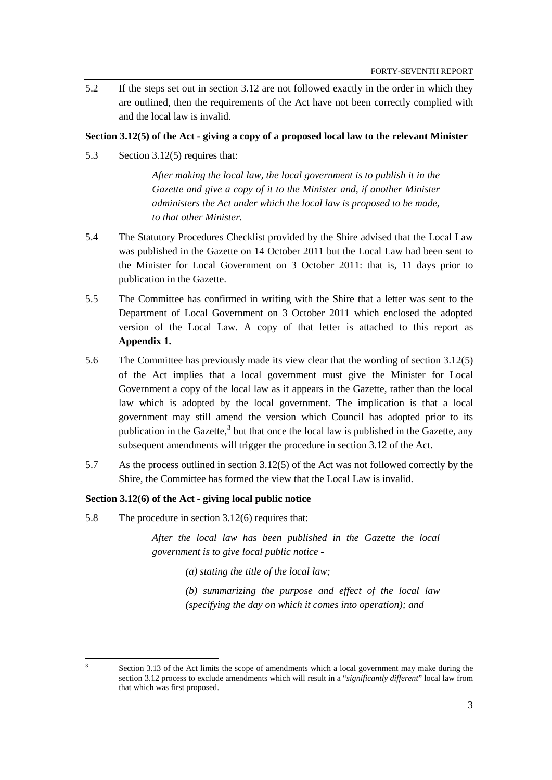5.2 If the steps set out in section 3.12 are not followed exactly in the order in which they are outlined, then the requirements of the Act have not been correctly complied with and the local law is invalid.

#### **Section 3.12(5) of the Act - giving a copy of a proposed local law to the relevant Minister**

5.3 Section 3.12(5) requires that:

*After making the local law, the local government is to publish it in the Gazette and give a copy of it to the Minister and, if another Minister administers the Act under which the local law is proposed to be made, to that other Minister.*

- 5.4 The Statutory Procedures Checklist provided by the Shire advised that the Local Law was published in the Gazette on 14 October 2011 but the Local Law had been sent to the Minister for Local Government on 3 October 2011: that is, 11 days prior to publication in the Gazette.
- 5.5 The Committee has confirmed in writing with the Shire that a letter was sent to the Department of Local Government on 3 October 2011 which enclosed the adopted version of the Local Law. A copy of that letter is attached to this report as **Appendix 1.**
- 5.6 The Committee has previously made its view clear that the wording of section 3.12(5) of the Act implies that a local government must give the Minister for Local Government a copy of the local law as it appears in the Gazette, rather than the local law which is adopted by the local government. The implication is that a local government may still amend the version which Council has adopted prior to its publication in the Gazette,<sup>[3](#page-6-0)</sup> but that once the local law is published in the Gazette, any subsequent amendments will trigger the procedure in section 3.12 of the Act.
- 5.7 As the process outlined in section 3.12(5) of the Act was not followed correctly by the Shire, the Committee has formed the view that the Local Law is invalid.

#### **Section 3.12(6) of the Act - giving local public notice**

5.8 The procedure in section 3.12(6) requires that:

*After the local law has been published in the Gazette the local government is to give local public notice -*

*(a) stating the title of the local law;*

*(b) summarizing the purpose and effect of the local law (specifying the day on which it comes into operation); and*

<span id="page-6-0"></span><sup>3</sup> Section 3.13 of the Act limits the scope of amendments which a local government may make during the section 3.12 process to exclude amendments which will result in a "*significantly different*" local law from that which was first proposed.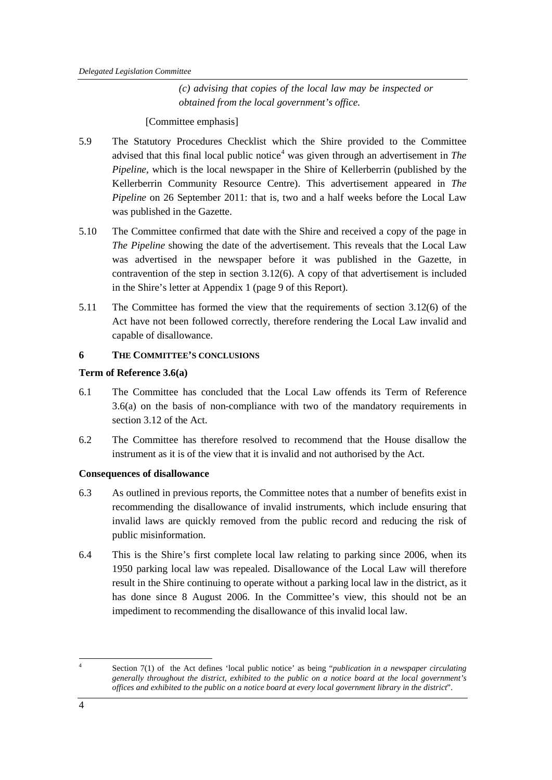*(c) advising that copies of the local law may be inspected or obtained from the local government's office.*

[Committee emphasis]

- 5.9 The Statutory Procedures Checklist which the Shire provided to the Committee advised that this final local public notice<sup>[4](#page-7-0)</sup> was given through an advertisement in *The Pipeline*, which is the local newspaper in the Shire of Kellerberrin (published by the Kellerberrin Community Resource Centre). This advertisement appeared in *The Pipeline* on 26 September 2011: that is, two and a half weeks before the Local Law was published in the Gazette.
- 5.10 The Committee confirmed that date with the Shire and received a copy of the page in *The Pipeline* showing the date of the advertisement. This reveals that the Local Law was advertised in the newspaper before it was published in the Gazette, in contravention of the step in section 3.12(6). A copy of that advertisement is included in the Shire's letter at Appendix 1 (page 9 of this Report).
- 5.11 The Committee has formed the view that the requirements of section 3.12(6) of the Act have not been followed correctly, therefore rendering the Local Law invalid and capable of disallowance.

## **6 THE COMMITTEE'S CONCLUSIONS**

#### **Term of Reference 3.6(a)**

- 6.1 The Committee has concluded that the Local Law offends its Term of Reference 3.6(a) on the basis of non-compliance with two of the mandatory requirements in section 3.12 of the Act.
- 6.2 The Committee has therefore resolved to recommend that the House disallow the instrument as it is of the view that it is invalid and not authorised by the Act.

## **Consequences of disallowance**

- 6.3 As outlined in previous reports, the Committee notes that a number of benefits exist in recommending the disallowance of invalid instruments, which include ensuring that invalid laws are quickly removed from the public record and reducing the risk of public misinformation.
- 6.4 This is the Shire's first complete local law relating to parking since 2006, when its 1950 parking local law was repealed. Disallowance of the Local Law will therefore result in the Shire continuing to operate without a parking local law in the district, as it has done since 8 August 2006. In the Committee's view, this should not be an impediment to recommending the disallowance of this invalid local law.

<span id="page-7-0"></span> <sup>4</sup> Section 7(1) of the Act defines 'local public notice' as being "*publication in a newspaper circulating generally throughout the district, exhibited to the public on a notice board at the local government's offices and exhibited to the public on a notice board at every local government library in the district*".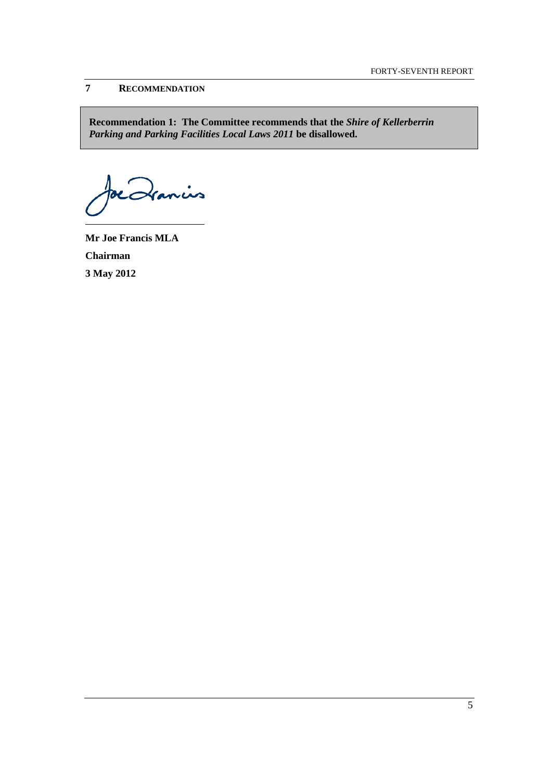## **7 RECOMMENDATION**

**Recommendation 1: The Committee recommends that the** *Shire of Kellerberrin Parking and Parking Facilities Local Laws 2011* **be disallowed.**

nis

**Mr Joe Francis MLA Chairman 3 May 2012**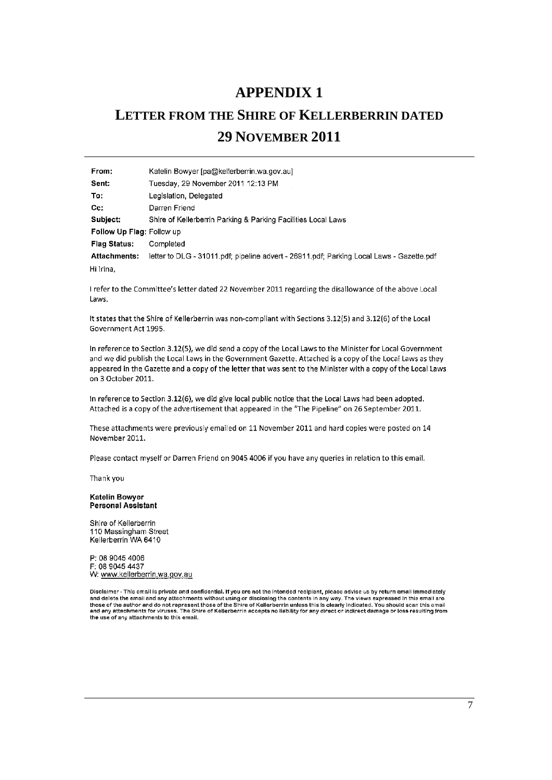## **APPENDIX1**

# **LETTER FROM THE SHIRE OF KELLERBERRIN DATED 29 NOVEMBER 2011**

| From:                     | Katelin Bowyer [pa@kellerberrin.wa.gov.au]                                               |  |  |  |
|---------------------------|------------------------------------------------------------------------------------------|--|--|--|
| Sent:                     | Tuesday, 29 November 2011 12:13 PM                                                       |  |  |  |
| To:                       | Legislation, Delegated                                                                   |  |  |  |
| $Cc$ :                    | Darren Friend                                                                            |  |  |  |
| Subject:                  | Shire of Kellerberrin Parking & Parking Facilities Local Laws                            |  |  |  |
| Follow Up Flag: Follow up |                                                                                          |  |  |  |
| <b>Flag Status:</b>       | Completed                                                                                |  |  |  |
| <b>Attachments:</b>       | letter to DLG - 31011 pdf; pipeline advert - 26911 pdf; Parking Local Laws - Gazette pdf |  |  |  |
| Hi Irina.                 |                                                                                          |  |  |  |

I refer to the Committee's letter dated 22 November 2011 regarding the disallowance of the above Local Laws.

It states that the Shire of Kellerberrin was non-compliant with Sections 3.12(5) and 3.12(6) of the Local Government Act 1995.

In reference to Section 3.12(5), we did send a copy of the Local Laws to the Minister for Local Government and we did publish the Local Laws in the Government Gazette. Attached is a copy of the Local Laws as they appeared in the Gazette and a copy of the letter that was sent to the Minister with a copy of the Local Laws on 3 October 2011.

In reference to Section 3.12(6), we did give local public notice that the Local Laws had been adopted. Attached is a copy of the advertisement that appeared in the "The Pipeline" on 26 September 2011.

These attachments were previously emailed on 11 November 2011 and hard copies were posted on 14 November 2011.

Please contact myself or Darren Friend on 9045 4006 if you have any queries in relation to this email.

Thank you

#### **Katelin Bowver** Personal Assistant

Shire of Kellerberrin 110 Massingham Street<br>Kellerberrin WA 6410

P: 08 9045 4006 F: 08 9045 4437 W: www.kellerberrin.wa.gov.au

Disclaimer - This email is private and confidential. If you are not the intended recipient, please advise us by return email immediately and delete the email and any attachments without using or disclosing the contents in any way. The views expressed in this email are those of the author and do not represent those of the Shire of Kellerberrin unless this is clearly indicated. You should scan this email and any attachments for viruses. The Shire of Kellerberrin accepts no liability for a the use of any attachments to this email.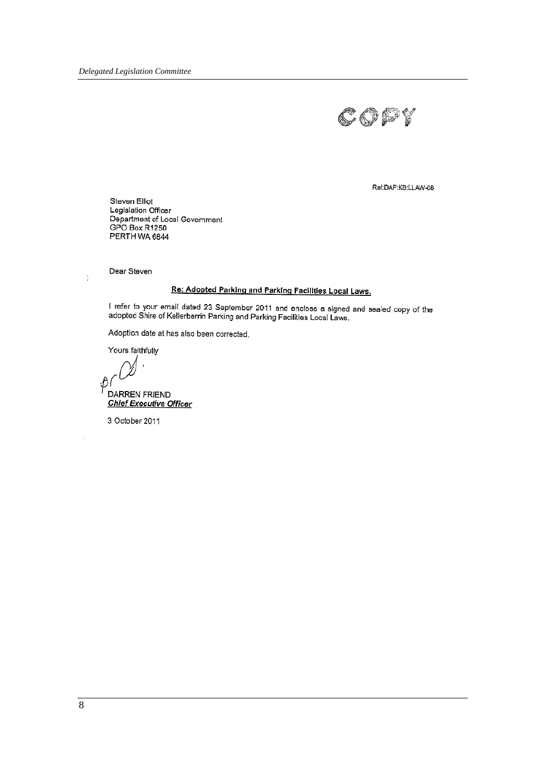

Ref:DAF:KB:LLAW-08

Steven Elliot Legislation Officer Department of Local Government<br>GPO Box R1250 PERTH WA 6844

Dear Steven

 $\frac{1}{4}$ 

## Re: Adopted Parking and Parking Facilities Local Laws.

I refer to your email dated 23 September 2011 and enclose a signed and sealed copy of the<br>adopted Shire of Kellerberrin Parking and Parking Facilities Local Laws.

Adoption date at has also been corrected.

Yours faithfully

v/  $\overline{a}$  $\hat{\phi}$ 

DARREN FRIEND **Chief Executive Officer** 

3 October 2011